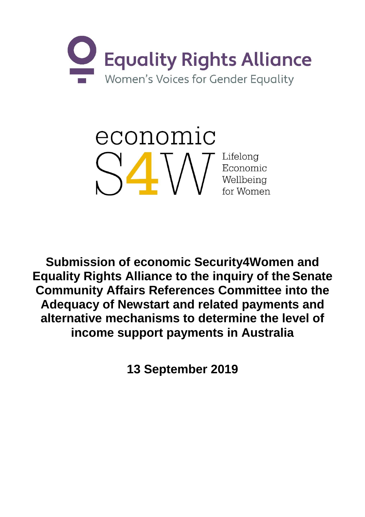

economic Lifelong Economic Wellbeing for Women

**Submission of economic Security4Women and Equality Rights Alliance to the inquiry of the Senate Community Affairs References Committee into the Adequacy of Newstart and related payments and alternative mechanisms to determine the level of income support payments in Australia**

**13 September 2019**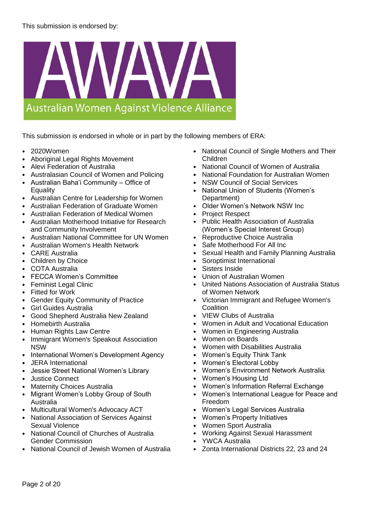

This submission is endorsed in whole or in part by the following members of ERA:

- 2020Women
- Aboriginal Legal Rights Movement
- Alevi Federation of Australia
- Australasian Council of Women and Policing
- Australian Baha'i Community Office of **Equality**
- Australian Centre for Leadership for Women
- Australian Federation of Graduate Women
- Australian Federation of Medical Women
- Australian Motherhood Initiative for Research and Community Involvement
- Australian National Committee for UN Women
- Australian Women's Health Network
- CARE Australia
- Children by Choice
- COTA Australia
- FECCA Women's Committee
- **Feminist Legal Clinic**
- **Fitted for Work**
- Gender Equity Community of Practice
- Girl Guides Australia
- Good Shepherd Australia New Zealand
- Homebirth Australia
- Human Rights Law Centre
- Immigrant Women's Speakout Association NSW
- International Women's Development Agency
- JERA International
- Jessie Street National Women's Library
- Justice Connect
- **Maternity Choices Australia**
- Migrant Women's Lobby Group of South Australia
- Multicultural Women's Advocacy ACT
- National Association of Services Against Sexual Violence
- National Council of Churches of Australia Gender Commission
- National Council of Jewish Women of Australia
- National Council of Single Mothers and Their Children
- National Council of Women of Australia
- National Foundation for Australian Women
- **NSW Council of Social Services**
- National Union of Students (Women's Department)
- Older Women's Network NSW Inc
- Project Respect
- Public Health Association of Australia (Women's Special Interest Group)
- Reproductive Choice Australia
- Safe Motherhood For All Inc
- Sexual Health and Family Planning Australia
- Soroptimist International
- Sisters Inside
- Union of Australian Women
- United Nations Association of Australia Status of Women Network
- Victorian Immigrant and Refugee Women's **Coalition**
- VIEW Clubs of Australia
- Women in Adult and Vocational Education
- Women in Engineering Australia
- Women on Boards
- Women with Disabilities Australia
- Women's Equity Think Tank
- Women's Electoral Lobby
- Women's Environment Network Australia
- Women's Housing Ltd
- Women's Information Referral Exchange
- Women's International League for Peace and Freedom
- Women's Legal Services Australia
- Women's Property Initiatives
- Women Sport Australia
- Working Against Sexual Harassment
- YWCA Australia
- Zonta International Districts 22, 23 and 24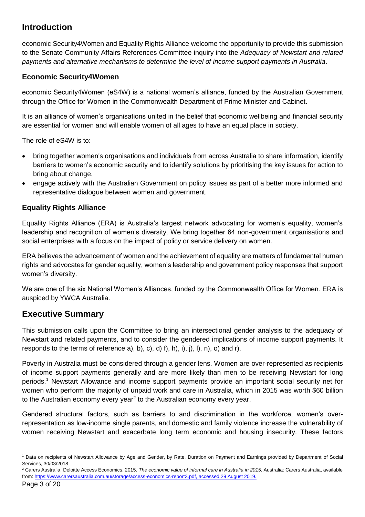# **Introduction**

economic Security4Women and Equality Rights Alliance welcome the opportunity to provide this submission to the Senate Community Affairs References Committee inquiry into the *Adequacy of Newstart and related payments and alternative mechanisms to determine the level of income support payments in Australia*.

# **Economic Security4Women**

economic Security4Women (eS4W) is a national women's alliance, funded by the Australian Government through the Office for Women in the Commonwealth Department of Prime Minister and Cabinet.

It is an alliance of women's organisations united in the belief that economic wellbeing and financial security are essential for women and will enable women of all ages to have an equal place in society.

The role of eS4W is to:

- bring together women's organisations and individuals from across Australia to share information, identify barriers to women's economic security and to identify solutions by prioritising the key issues for action to bring about change.
- engage actively with the Australian Government on policy issues as part of a better more informed and representative dialogue between women and government.

# **Equality Rights Alliance**

Equality Rights Alliance (ERA) is Australia's largest network advocating for women's equality, women's leadership and recognition of women's diversity. We bring together 64 non-government organisations and social enterprises with a focus on the impact of policy or service delivery on women.

ERA believes the advancement of women and the achievement of equality are matters of fundamental human rights and advocates for gender equality, women's leadership and government policy responses that support women's diversity.

We are one of the six National Women's Alliances, funded by the Commonwealth Office for Women. ERA is auspiced by YWCA Australia.

# **Executive Summary**

This submission calls upon the Committee to bring an intersectional gender analysis to the adequacy of Newstart and related payments, and to consider the gendered implications of income support payments. It responds to the terms of reference  $a$ ,  $b$ ,  $c$ ,  $d$ ,  $f$ ,  $h$ ,  $i$ ,  $j$ ,  $j$ ,  $l$ ,  $n$ ,  $o$  and r).

Poverty in Australia must be considered through a gender lens. Women are over-represented as recipients of income support payments generally and are more likely than men to be receiving Newstart for long periods.<sup>1</sup> Newstart Allowance and income support payments provide an important social security net for women who perform the majority of unpaid work and care in Australia, which in 2015 was worth \$60 billion to the Australian economy every year<sup>2</sup> to the Australian economy every year.

Gendered structural factors, such as barriers to and discrimination in the workforce, women's overrepresentation as low-income single parents, and domestic and family violence increase the vulnerability of women receiving Newstart and exacerbate long term economic and housing insecurity. These factors

<sup>1</sup> Data on recipients of Newstart Allowance by Age and Gender, by Rate, Duration on Payment and Earnings provided by Department of Social Services, 30/03/2018.

<sup>2</sup> Carers Australia, Deloitte Access Economics. 2015. *The economic value of informal care in Australia in 2015*. Australia: Carers Australia, available from[: https://www.carersaustralia.com.au/storage/access-economics-report3.pdf,](https://www.carersaustralia.com.au/storage/access-economics-report3.pdf) accessed 29 August 2019.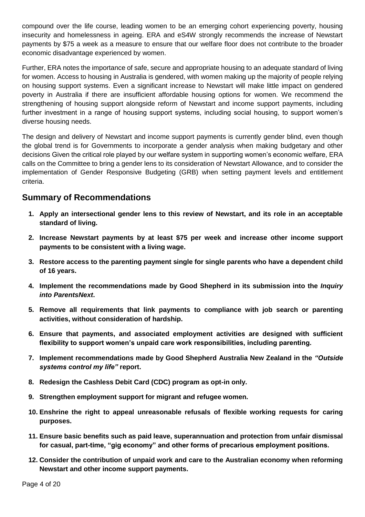compound over the life course, leading women to be an emerging cohort experiencing poverty, housing insecurity and homelessness in ageing. ERA and eS4W strongly recommends the increase of Newstart payments by \$75 a week as a measure to ensure that our welfare floor does not contribute to the broader economic disadvantage experienced by women.

Further, ERA notes the importance of safe, secure and appropriate housing to an adequate standard of living for women. Access to housing in Australia is gendered, with women making up the majority of people relying on housing support systems. Even a significant increase to Newstart will make little impact on gendered poverty in Australia if there are insufficient affordable housing options for women. We recommend the strengthening of housing support alongside reform of Newstart and income support payments, including further investment in a range of housing support systems, including social housing, to support women's diverse housing needs.

The design and delivery of Newstart and income support payments is currently gender blind, even though the global trend is for Governments to incorporate a gender analysis when making budgetary and other decisions Given the critical role played by our welfare system in supporting women's economic welfare, ERA calls on the Committee to bring a gender lens to its consideration of Newstart Allowance, and to consider the implementation of Gender Responsive Budgeting (GRB) when setting payment levels and entitlement criteria.

# **Summary of Recommendations**

- **1. Apply an intersectional gender lens to this review of Newstart, and its role in an acceptable standard of living.**
- **2. Increase Newstart payments by at least \$75 per week and increase other income support payments to be consistent with a living wage.**
- **3. Restore access to the parenting payment single for single parents who have a dependent child of 16 years.**
- **4. Implement the recommendations made by Good Shepherd in its submission into the** *Inquiry into ParentsNext***.**
- **5. Remove all requirements that link payments to compliance with job search or parenting activities, without consideration of hardship.**
- **6. Ensure that payments, and associated employment activities are designed with sufficient flexibility to support women's unpaid care work responsibilities, including parenting.**
- **7. Implement recommendations made by Good Shepherd Australia New Zealand in the** *"Outside systems control my life"* **report.**
- **8. Redesign the Cashless Debit Card (CDC) program as opt-in only.**
- **9. Strengthen employment support for migrant and refugee women.**
- **10. Enshrine the right to appeal unreasonable refusals of flexible working requests for caring purposes.**
- **11. Ensure basic benefits such as paid leave, superannuation and protection from unfair dismissal for casual, part-time, "gig economy" and other forms of precarious employment positions.**
- **12. Consider the contribution of unpaid work and care to the Australian economy when reforming Newstart and other income support payments.**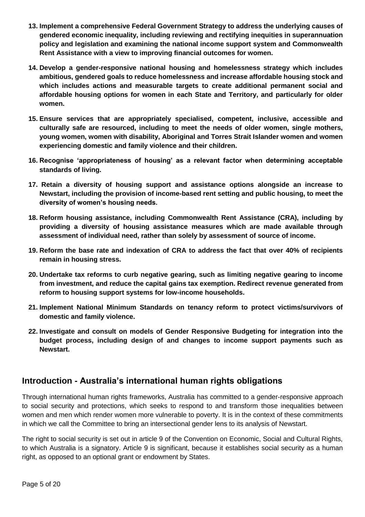- **13. Implement a comprehensive Federal Government Strategy to address the underlying causes of gendered economic inequality, including reviewing and rectifying inequities in superannuation policy and legislation and examining the national income support system and Commonwealth Rent Assistance with a view to improving financial outcomes for women.**
- **14. Develop a gender-responsive national housing and homelessness strategy which includes ambitious, gendered goals to reduce homelessness and increase affordable housing stock and which includes actions and measurable targets to create additional permanent social and affordable housing options for women in each State and Territory, and particularly for older women.**
- **15. Ensure services that are appropriately specialised, competent, inclusive, accessible and culturally safe are resourced, including to meet the needs of older women, single mothers, young women, women with disability, Aboriginal and Torres Strait Islander women and women experiencing domestic and family violence and their children.**
- **16. Recognise 'appropriateness of housing' as a relevant factor when determining acceptable standards of living.**
- **17. Retain a diversity of housing support and assistance options alongside an increase to Newstart, including the provision of income-based rent setting and public housing, to meet the diversity of women's housing needs.**
- **18. Reform housing assistance, including Commonwealth Rent Assistance (CRA), including by providing a diversity of housing assistance measures which are made available through assessment of individual need, rather than solely by assessment of source of income.**
- **19. Reform the base rate and indexation of CRA to address the fact that over 40% of recipients remain in housing stress.**
- **20. Undertake tax reforms to curb negative gearing, such as limiting negative gearing to income from investment, and reduce the capital gains tax exemption. Redirect revenue generated from reform to housing support systems for low-income households.**
- **21. Implement National Minimum Standards on tenancy reform to protect victims/survivors of domestic and family violence.**
- **22. Investigate and consult on models of Gender Responsive Budgeting for integration into the budget process, including design of and changes to income support payments such as Newstart.**

# **Introduction - Australia's international human rights obligations**

Through international human rights frameworks, Australia has committed to a gender-responsive approach to social security and protections, which seeks to respond to and transform those inequalities between women and men which render women more vulnerable to poverty. It is in the context of these commitments in which we call the Committee to bring an intersectional gender lens to its analysis of Newstart.

The right to social security is set out in article 9 of the Convention on Economic, Social and Cultural Rights, to which Australia is a signatory. Article 9 is significant, because it establishes social security as a human right, as opposed to an optional grant or endowment by States.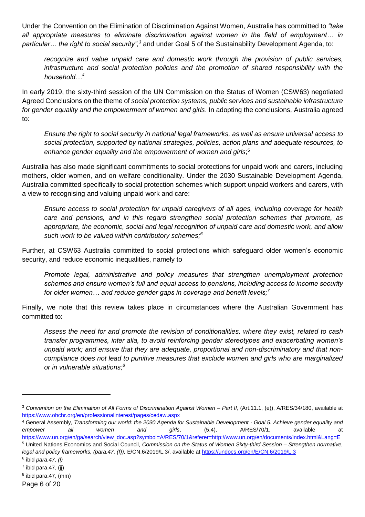Under the Convention on the Elimination of Discrimination Against Women, Australia has committed to *"take all appropriate measures to eliminate discrimination against women in the field of employment… in particular… the right to social security",<sup>3</sup>* and under Goal 5 of the Sustainability Development Agenda, to:

*recognize and value unpaid care and domestic work through the provision of public services, infrastructure and social protection policies and the promotion of shared responsibility with the household…<sup>4</sup>*

In early 2019, the sixty-third session of the UN Commission on the Status of Women (CSW63) negotiated Agreed Conclusions on the theme of *social protection systems, public services and sustainable infrastructure for gender equality and the empowerment of women and girls*. In adopting the conclusions, Australia agreed to:

*Ensure the right to social security in national legal frameworks, as well as ensure universal access to social protection, supported by national strategies, policies, action plans and adequate resources, to*  enhance gender equality and the empowerment of women and girls;<sup>5</sup>

Australia has also made significant commitments to social protections for unpaid work and carers, including mothers, older women, and on welfare conditionality. Under the 2030 Sustainable Development Agenda, Australia committed specifically to social protection schemes which support unpaid workers and carers, with a view to recognising and valuing unpaid work and care:

*Ensure access to social protection for unpaid caregivers of all ages, including coverage for health care and pensions, and in this regard strengthen social protection schemes that promote, as appropriate, the economic, social and legal recognition of unpaid care and domestic work, and allow such work to be valued within contributory schemes;<sup>6</sup>*

Further, at CSW63 Australia committed to social protections which safeguard older women's economic security, and reduce economic inequalities, namely to

*Promote legal, administrative and policy measures that strengthen unemployment protection schemes and ensure women's full and equal access to pensions, including access to income security for older women… and reduce gender gaps in coverage and benefit levels;<sup>7</sup>*

Finally, we note that this review takes place in circumstances where the Australian Government has committed to:

*Assess the need for and promote the revision of conditionalities, where they exist, related to cash transfer programmes, inter alia, to avoid reinforcing gender stereotypes and exacerbating women's unpaid work; and ensure that they are adequate, proportional and non-discriminatory and that noncompliance does not lead to punitive measures that exclude women and girls who are marginalized or in vulnerable situations;<sup>8</sup>*

<sup>3</sup> *Convention on the Elimination of All Forms of Discrimination Against Women – Part II*, (Art.11.1, (e)), A/RES/34/180, available at <https://www.ohchr.org/en/professionalinterest/pages/cedaw.aspx>

<sup>4</sup> General Assembly, *Transforming our world: the 2030 Agenda for Sustainable Development - Goal 5. Achieve gender equality and empower all women and girls*, (5.4), A/RES/70/1, available at [https://www.un.org/en/ga/search/view\\_doc.asp?symbol=A/RES/70/1&referer=http://www.un.org/en/documents/index.html&Lang=E](https://www.un.org/en/ga/search/view_doc.asp?symbol=A/RES/70/1&referer=http://www.un.org/en/documents/index.html&Lang=E) <sup>5</sup> United Nations Economics and Social Council, *Commission on the Status of Women Sixty-third Session – Strengthen normative,* 

*legal and policy frameworks, (para.47, (f)), E/CN.6/2019/L.3/, available at<https://undocs.org/en/E/CN.6/2019/L.3>* 

<sup>6</sup> ibid *para.47, (l)*

<sup>&</sup>lt;sup>7</sup> ibid para.47, (jj)

 $8$  ibid para.47, (mm)

Page 6 of 20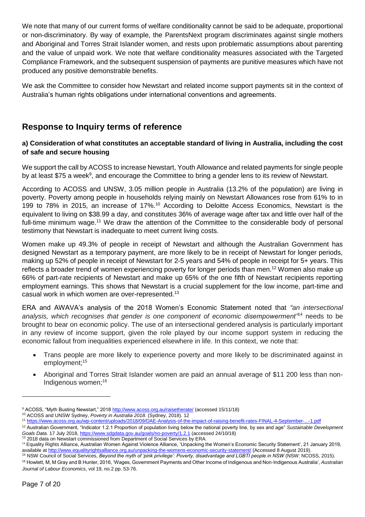We note that many of our current forms of welfare conditionality cannot be said to be adequate, proportional or non-discriminatory. By way of example, the ParentsNext program discriminates against single mothers and Aboriginal and Torres Strait Islander women, and rests upon problematic assumptions about parenting and the value of unpaid work. We note that welfare conditionality measures associated with the Targeted Compliance Framework, and the subsequent suspension of payments are punitive measures which have not produced any positive demonstrable benefits.

We ask the Committee to consider how Newstart and related income support payments sit in the context of Australia's human rights obligations under international conventions and agreements.

# **Response to Inquiry terms of reference**

# **a) Consideration of what constitutes an acceptable standard of living in Australia, including the cost of safe and secure housing**

We support the call by ACOSS to increase Newstart, Youth Allowance and related payments for single people [by at least \\$75 a week](https://www.acoss.org.au/wp-content/uploads/2018/03/Raise-the-Rate-Explainer-1.pdf)<sup>9</sup>, and encourage the Committee to bring a gender lens to its review of Newstart.

According to ACOSS and UNSW, [3.05 million people in Australia](https://www.acoss.org.au/wp-content/uploads/2016/10/Poverty-in-Australia-2016.pdf) (13.2% of the population) are living in poverty. Poverty among people in households relying mainly on Newstart Allowances rose from 61% to in 199 to 78% in 2015, an increase of 17%.<sup>10</sup> According to Deloitte Access Economics, Newstart is the equivalent to living on \$38.99 a day, and constitutes 36% of average wage after tax and little over half of the full-time minimum wage.<sup>11</sup> We draw the attention of the Committee to the considerable body of personal testimony that Newstart is inadequate to meet current living costs.

Women make up 49.3% of people in receipt of Newstart and although the Australian Government has designed Newstart as a temporary payment, are more likely to be in receipt of Newstart for longer periods, making up 52% of people in receipt of Newstart for 2-5 years and 54% of people in receipt for 5+ years. This reflects a broader trend of women experiencing poverty [for longer periods](https://melbourneinstitute.unimelb.edu.au/__data/assets/pdf_file/0010/2437426/HILDA-SR-med-res.pdf) than men.<sup>12</sup> Women also make up 66% of part-rate recipients of Newstart and make up 65% of the one fifth of Newstart recipients reporting employment earnings. This shows that Newstart is a crucial supplement for the low income, part-time and casual work in which women are over-represented.<sup>13</sup>

ERA and AWAVA's analysis of the 2018 Women's Economic Statement noted that *"an intersectional analysis, which recognises that gender is one component of economic disempowerment"*<sup>14</sup> needs to be brought to bear on economic policy. The use of an intersectional gendered analysis is particularly important in any review of income support, given the role played by our income support system in reducing the economic fallout from inequalities experienced elsewhere in life. In this context, we note that:

- Trans people are more likely to experience poverty and more likely to be discriminated against in employment;<sup>15</sup>
- Aboriginal and Torres Strait Islander women are paid an annual average of \$11 200 less than non-Indigenous women; 16

<sup>9</sup> ACOSS, "Myth Busting Newstart," 201[8 http://www.acoss.org.au/raisetherate/](http://www.acoss.org.au/raisetherate/) (accessed 15/11/18) <sup>10</sup> ACOSS and UNSW Sydney, *Poverty in Australia 2018.* (Sydney, 2018). 12

<sup>11</sup> <https://www.acoss.org.au/wp-content/uploads/2018/09/DAE-Analysis-of-the-impact-of-raising-benefit-rates-FINAL-4-September-...-1.pdf>

<sup>12</sup> Australian Government, "Indicator 1.2.1 Proportion of population living below the national poverty line, by sex and age" *Sustainable Development Goals Data.* 17 July 2018[, https://www.sdgdata.gov.au/goals/no-poverty/1.2.1](https://www.sdgdata.gov.au/goals/no-poverty/1.2.1) (accessed 24/10/18) <sup>13</sup> 2018 data on Newstart commissioned from Department of Social Services by ERA.

<sup>&</sup>lt;sup>14</sup> Equality Rights Alliance, Australian Women Against Violence Alliance, 'Unpacking the Women's Economic Security Statement', 21 January 2019, available at <u>http://www.equalityrightsalliance.org.au/unpacking-the-womens-economic-security-statement/</u> (Accessed 8 August 2019).

<sup>15</sup> NSW Council of Social Services, *Beyond the myth of 'pink privilege': Poverty, disadvantage and LGBTI people in NSW* (NSW: NCOSS, 2015).

<sup>16</sup> Howlett, M, M Gray and B Hunter, 2016, 'Wages, Government Payments and Other Income of Indigenous and Non-Indigenous Australia', *Australian Journal of Labour Economics*, vol 19, no.2 pp. 53-76.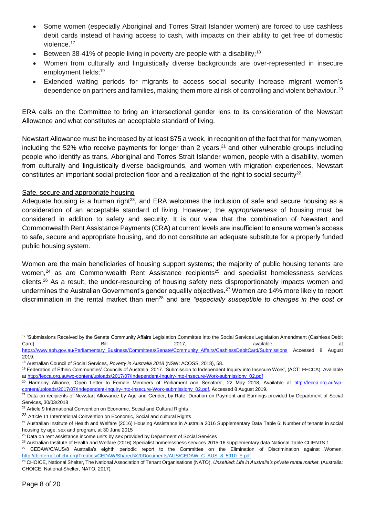- Some women (especially Aboriginal and Torres Strait Islander women) are forced to use cashless debit cards instead of having access to cash, with impacts on their ability to get free of domestic violence.<sup>17</sup>
- Between 38-41% of people living in poverty are people with a disability;<sup>18</sup>
- Women from culturally and linguistically diverse backgrounds are over-represented in insecure employment fields; 19
- Extended waiting periods for migrants to access social security increase migrant women's dependence on partners and families, making them more at risk of controlling and violent behaviour.<sup>20</sup>

ERA calls on the Committee to bring an intersectional gender lens to its consideration of the Newstart Allowance and what constitutes an acceptable standard of living.

Newstart Allowance must be increased by at least \$75 a week, in recognition of the fact that for many women, including the 52% who receive payments for longer than 2 years,  $2<sup>1</sup>$  and other vulnerable groups including people who identify as trans, Aboriginal and Torres Strait Islander women, people with a disability, women from culturally and linguistically diverse backgrounds, and women with migration experiences, Newstart constitutes an important social protection floor and a realization of the right to social security<sup>22</sup>.

### Safe, secure and appropriate housing

Adequate housing is a human right<sup>23</sup>, and ERA welcomes the inclusion of safe and secure housing as a consideration of an acceptable standard of living. However, the *appropriateness* of housing must be considered in addition to safety and security. It is our view that the combination of Newstart and Commonwealth Rent Assistance Payments (CRA) at current levels are insufficient to ensure women's access to safe, secure and appropriate housing, and do not constitute an adequate substitute for a properly funded public housing system.

Women are the main beneficiaries of housing support systems; the majority of public housing tenants are women,<sup>24</sup> as are Commonwealth Rent Assistance recipients<sup>25</sup> and specialist homelessness services clients.<sup>26</sup> As a result, the under-resourcing of housing safety nets disproportionately impacts women and undermines the Australian Government's gender equality objectives.<sup>27</sup> Women are 14% more likely to report discrimination in the rental market than men<sup>28</sup> and are "especially susceptible to changes in the cost or

<sup>&</sup>lt;sup>17</sup> 'Submissions Received by the Senate Community Affairs Legislation Committee into the Social Services Legislation Amendment (Cashless Debit Card) Bill 2017, available at

[https://www.aph.gov.au/Parliamentary\\_Business/Committees/Senate/Community\\_Affairs/CashlessDebitCard/Submissions](https://www.aph.gov.au/Parliamentary_Business/Committees/Senate/Community_Affairs/CashlessDebitCard/Submissions) Accessed 8 August 2019.

<sup>18</sup> Australian Council of Social Services, *Poverty in Australia 2018* (NSW: ACOSS, 2018), 58.

<sup>19</sup> Federation of Ethnic Communities' Councils of Australia, 2017. 'Submission to Independent Inquiry into Insecure Work', (ACT: FECCA). Available at [http://fecca.org.au/wp-content/uploads/2017/07/Independent-Inquiry-into-Insecure-Work-submissionv\\_02.pdf](http://fecca.org.au/wp-content/uploads/2017/07/Independent-Inquiry-into-Insecure-Work-submissionv_02.pdf)

<sup>&</sup>lt;sup>20</sup> Harmony Alliance, 'Open Letter to Female Members of Parliament and Senators', 22 May 2018, Available at [http://fecca.org.au/wp](http://fecca.org.au/wp-content/uploads/2017/07/Independent-Inquiry-into-Insecure-Work-submissionv_02.pdf)[content/uploads/2017/07/Independent-Inquiry-into-Insecure-Work-submissionv\\_02.pdf,](http://fecca.org.au/wp-content/uploads/2017/07/Independent-Inquiry-into-Insecure-Work-submissionv_02.pdf) Accessed 8 August 2019.

<sup>&</sup>lt;sup>21</sup> Data on recipients of Newstart Allowance by Age and Gender, by Rate, Duration on Payment and Earnings provided by Department of Social Services, 30/03/2018

<sup>&</sup>lt;sup>22</sup> Article 9 International Convention on Economic, Social and Cultural Rights

<sup>&</sup>lt;sup>23</sup> Article 11 International Convention on Economic, Social and cultural Rights

<sup>&</sup>lt;sup>24</sup> Australian Institute of Health and Welfare (2016) Housing Assistance in Australia 2016 Supplementary Data Table 6: Number of tenants in social housing by age, sex and program, at 30 June 2015

<sup>&</sup>lt;sup>25</sup> Data on rent assistance income units by sex provided by Department of Social Services

<sup>&</sup>lt;sup>26</sup> Australian Institute of Health and Welfare (2016) Specialist homelessness services 2015-16 supplementary data National Table CLIENTS 1

<sup>&</sup>lt;sup>27</sup> CEDAW/C/AUS/8 Australia's eighth periodic report to the Committee on the Elimination of Discrimination against Women, [http://tbinternet.ohchr.org/Treaties/CEDAW/Shared%20Documents/AUS/CEDAW\\_C\\_AUS\\_8\\_5910\\_E.pdf](http://tbinternet.ohchr.org/Treaties/CEDAW/Shared%20Documents/AUS/CEDAW_C_AUS_8_5910_E.pdf)

<sup>28</sup> CHOICE, National Shelter, The National Association of Tenant Organisations (NATO), *Unsettled: Life in Australia's private rental market*, (Australia: CHOICE, National Shelter, NATO, 2017).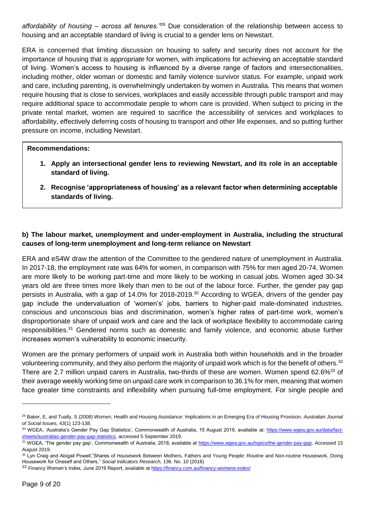*affordability of housing – across all tenures."*<sup>29</sup> Due consideration of the relationship between access to housing and an acceptable standard of living is crucial to a gender lens on Newstart.

ERA is concerned that limiting discussion on housing to safety and security does not account for the importance of housing that is *appropriate* for women, with implications for achieving an acceptable standard of living. Women's access to housing is influenced by a diverse range of factors and intersectionalities, including mother, older woman or domestic and family violence survivor status. For example, unpaid work and care, including parenting, is overwhelmingly undertaken by women in Australia. This means that women require housing that is close to services, workplaces and easily accessible through public transport and may require additional space to accommodate people to whom care is provided. When subject to pricing in the private rental market, women are required to sacrifice the accessibility of services and workplaces to affordability, effectively deferring costs of housing to transport and other life expenses, and so putting further pressure on income, including Newstart.

## **Recommendations:**

- **1. Apply an intersectional gender lens to reviewing Newstart, and its role in an acceptable standard of living.**
- **2. Recognise 'appropriateness of housing' as a relevant factor when determining acceptable standards of living.**

# **b) The labour market, unemployment and under-employment in Australia, including the structural causes of long-term unemployment and long-term reliance on Newstart**

ERA and eS4W draw the attention of the Committee to the gendered nature of unemployment in Australia. In 2017-18, the employment rate was 64% for women, in comparison with 75% for men aged 20-74. Women are more likely to be working part-time and more likely to be working in casual jobs. Women aged 30-34 years old are three times more likely than men to be out of the labour force. Further, the gender pay gap persists in Australia, with a gap of 14.0% for 2018-2019.<sup>30</sup> According to WGEA, drivers of the gender pay gap include the undervaluation of 'women's' jobs, barriers to higher-paid male-dominated industries, conscious and unconscious bias and discrimination, women's higher rates of part-time work, women's disproportionate share of unpaid work and care and the lack of workplace flexibility to accommodate caring responsibilities.<sup>31</sup> Gendered norms such as domestic and family violence, and economic abuse further increases women's vulnerability to economic insecurity.

Women are the primary performers of unpaid work in Australia both within households and in the broader volunteering community, and they also perform the majority of unpaid work which is for the benefit of others.<sup>32</sup> There are 2.7 million unpaid carers in Australia, two-thirds of these are women. Women spend 62.6%<sup>33</sup> of their average weekly working time on unpaid care work in comparison to 36.1% for men, meaning that women face greater time constraints and inflexibility when pursuing full-time employment. For single people and

<sup>29</sup> Baker, E, and Tually, S (2008) Women, Health and Housing Assistance: Implications in an Emerging Era of Housing Provision. *Australian Journal of Social Issues,* 43(1) 123-138.

<sup>&</sup>lt;sup>30</sup> WGEA, 'Australia's Gender Pay Gap Statistics', Commonwealth of Australia, 15 August 2019, available at: [https://www.wgea.gov.au/data/fact](https://www.wgea.gov.au/data/fact-sheets/australias-gender-pay-gap-statistics)[sheets/australias-gender-pay-gap-statistics,](https://www.wgea.gov.au/data/fact-sheets/australias-gender-pay-gap-statistics) accessed 5 September 2019.

<sup>31</sup> WGEA, 'The gender pay gap', Commonwealth of Australia, 2018, available at [https://www.wgea.gov.au/topics/the-gender-pay-gap,](https://www.wgea.gov.au/topics/the-gender-pay-gap) Accessed 15 August 2019.

<sup>32</sup> Lyn Craig and Abigail Powell,"Shares of Housework Between Mothers, Fathers and Young People: Routine and Non-routine Housework, Doing Housework for Oneself and Others," *Social Indicators Research,* 136. No. 10 (2016)

<sup>33</sup> Financy Women's Index, June 2019 Report, available a[t https://financy.com.au/financy-womens-index/](https://financy.com.au/financy-womens-index/)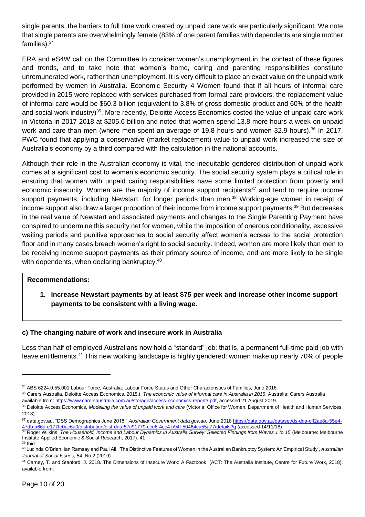single parents, the barriers to full time work created by unpaid care work are particularly significant. We note that single parents are overwhelmingly female (83% of one parent families with dependents are single mother families).<sup>34</sup>

ERA and eS4W call on the Committee to consider women's unemployment in the context of these figures and trends, and to take note that women's home, caring and parenting responsibilities constitute unremunerated work, rather than unemployment. It is very difficult to place an exact value on the unpaid work performed by women in Australia. Economic Security 4 Women found that if all hours of informal care provided in 2015 were replaced with services purchased from formal care providers, the replacement value of informal care would be \$60.3 billion (equivalent to 3.8% of gross domestic product and 60% of the health and social work industry)<sup>35</sup>. More recently, Deloitte Access Economics costed the value of unpaid care work in Victoria in 2017-2018 at \$205.6 billion and noted that women spend 13.8 more hours a week on unpaid work and care than men (where men spent an average of 19.8 hours and women 32.9 hours).<sup>36</sup> In 2017, PWC found that applying a conservative (market replacement) value to unpaid work increased the size of Australia's economy by a third compared with the calculation in the national accounts.

Although their role in the Australian economy is vital, the inequitable gendered distribution of unpaid work comes at a significant cost to women's economic security. The social security system plays a critical role in ensuring that women with unpaid caring responsibilities have some limited protection from poverty and economic insecurity. Women are the majority of income support recipients<sup>37</sup> and tend to require income support payments, including Newstart, for [longer periods](https://melbourneinstitute.unimelb.edu.au/__data/assets/pdf_file/0010/2437426/HILDA-SR-med-res.pdf) than men.<sup>38</sup> Working-age women in receipt of income support also [draw a larger proportion of their income](https://melbourneinstitute.unimelb.edu.au/__data/assets/pdf_file/0010/2437426/HILDA-SR-med-res.pdf) from income support payments.<sup>39</sup> But decreases in the real value of Newstart and associated payments and changes to the Single Parenting Payment have conspired to undermine this security net for women, while the imposition of onerous conditionality, excessive waiting periods and punitive approaches to social security affect women's access to the social protection floor and in many cases breach women's right to social security. Indeed, women are more likely than men to be receiving income support payments as their primary source of income, and are more likely to be single with dependents, when declaring bankruptcy. 40

### **Recommendations:**

**1. Increase Newstart payments by at least \$75 per week and increase other income support payments to be consistent with a living wage.** 

## **c) The changing nature of work and insecure work in Australia**

Less than half of employed Australians now hold a "standard" job: that is, a permanent full-time paid job with leave entitlements.<sup>41</sup> This new working landscape is highly gendered: women make up nearly 70% of people

<sup>34</sup> ABS 6224.0.55.001 Labour Force, Australia: Labour Force Status and Other Characteristics of Families, June 2016.

<sup>35</sup> Carers Australia, Deloitte Access Economics, 2015.t, *The economic value of informal care in Australia in 2015*. Australia: Carers Australia available from[: https://www.carersaustralia.com.au/storage/access-economics-report3.pdf,](https://www.carersaustralia.com.au/storage/access-economics-report3.pdf) accessed 21 August 2019.

<sup>36</sup> Deloitte Access Economics, *Modelling the value of unpaid work and care* (Victoria: Office for Women, Department of Health and Human Services, 2018).

**<sup>37</sup>** data.gov.au, "DSS Demographics June 2018," *Australian Government data.gov.au.* June 201[8 https://data.gov.au/dataset/ds-dga-cff2ae8a-55e4-](https://data.gov.au/dataset/ds-dga-cff2ae8a-55e4-47db-a66d-e177fe0ac6a0/distribution/dist-dga-57c91779-cce6-4ec4-b94f-50464ca55a77/details?q) [47db-a66d-e177fe0ac6a0/distribution/dist-dga-57c91779-cce6-4ec4-b94f-50464ca55a77/details?q](https://data.gov.au/dataset/ds-dga-cff2ae8a-55e4-47db-a66d-e177fe0ac6a0/distribution/dist-dga-57c91779-cce6-4ec4-b94f-50464ca55a77/details?q) (accessed 14/11/18)

**<sup>38</sup> Roger Wilkins, The Household, Income and Labour Dynamics in Australia Survey: Selected Findings from Waves 1 to 15 (Melbourne: Melbourne** Institute Applied Economic & Social Research, 2017). 41 <sup>39</sup> Ibid.

<sup>40</sup> Lucinda O'Brien, Ian Ramsay and Paul Ali, 'The Distinctive Features of Women in the Australian Bankruptcy System: An Empirical Study', *Australian Journal of Social Issues*, 54, No.2 (2019)

<sup>41</sup> Carney, T. and Stanford, J. 2018. The Dimensions of Insecure Work: A Factbook. (ACT: The Australia Institute, Centre for Future Work, 2018), available from: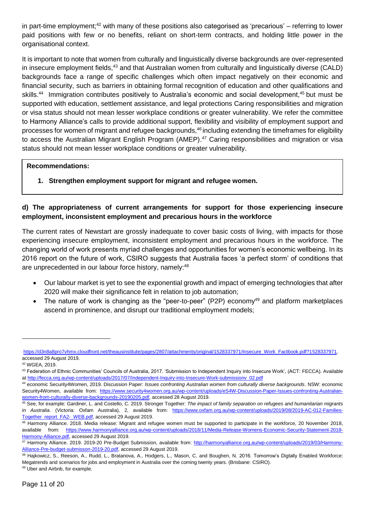in part-time employment;<sup>42</sup> with many of these positions also categorised as 'precarious' – referring to lower paid positions with few or no benefits, reliant on short-term contracts, and holding little power in the organisational context.

It is important to note that women from culturally and linguistically diverse backgrounds are over-represented in insecure employment fields,<sup>43</sup> and that Australian women from culturally and linguistically diverse (CALD) backgrounds face a range of specific challenges which often impact negatively on their economic and financial security, such as barriers in obtaining formal recognition of education and other qualifications and skills.<sup>44</sup> Immigration contributes positively to Australia's economic and social development,<sup>45</sup> but must be supported with education, settlement assistance, and legal protections Caring responsibilities and migration or visa status should not mean lesser workplace conditions or greater vulnerability. We refer the committee to Harmony Alliance's calls to provide additional support, flexibility and visibility of employment support and processes for women of migrant and refugee backgrounds, <sup>46</sup> including extending the timeframes for eligibility to access the Australian Migrant English Program (AMEP).<sup>47</sup> Caring responsibilities and migration or visa status should not mean lesser workplace conditions or greater vulnerability.

### **Recommendations:**

**1. Strengthen employment support for migrant and refugee women.** 

# **d) The appropriateness of current arrangements for support for those experiencing insecure employment, inconsistent employment and precarious hours in the workforce**

The current rates of Newstart are grossly inadequate to cover basic costs of living, with impacts for those experiencing insecure employment, inconsistent employment and precarious hours in the workforce. The changing world of work presents myriad challenges and opportunities for women's economic wellbeing. In its 2016 report on the future of work, CSIRO suggests that Australia faces 'a perfect storm' of conditions that are unprecedented in our labour force history, namely:<sup>48</sup>

- Our labour market is yet to see the exponential growth and impact of emerging technologies that after 2020 will make their significance felt in relation to job automation;
- The nature of work is changing as the "peer-to-peer" (P2P) economy<sup>49</sup> and platform marketplaces ascend in prominence, and disrupt our traditional employment models;

[https://d3n8a8pro7vhmx.cloudfront.net/theausinstitute/pages/2807/attachments/original/1528337971/Insecure\\_Work\\_Factbook.pdf?1528337971,](https://d3n8a8pro7vhmx.cloudfront.net/theausinstitute/pages/2807/attachments/original/1528337971/Insecure_Work_Factbook.pdf?1528337971) accessed 29 August 2019.

<sup>42</sup> WGEA, 2019.

<sup>43</sup> Federation of Ethnic Communities' Councils of Australia, 2017. 'Submission to Independent Inquiry into Insecure Work', (ACT: FECCA). Available at [http://fecca.org.au/wp-content/uploads/2017/07/Independent-Inquiry-into-Insecure-Work-submissionv\\_02.pdf](http://fecca.org.au/wp-content/uploads/2017/07/Independent-Inquiry-into-Insecure-Work-submissionv_02.pdf)

<sup>44</sup> economic Security4Women, 2019. Discussion Paper: *Issues confronting Australian women from culturally diverse backgrounds*. NSW: economic Security4Women, available from: [https://www.security4women.org.au/wp-content/uploads/eS4W-Discussion-Paper-Issues-confronting-Australian](https://www.security4women.org.au/wp-content/uploads/eS4W-Discussion-Paper-Issues-confronting-Australian-women-from-culturally-diverse-backgrounds-20190205.pdf)[women-from-culturally-diverse-backgrounds-20190205.pdf,](https://www.security4women.org.au/wp-content/uploads/eS4W-Discussion-Paper-Issues-confronting-Australian-women-from-culturally-diverse-backgrounds-20190205.pdf) accessed 28 August 2019.

<sup>45</sup> See, for example: Gardiner, L. and Costello, C. 2019. Stronger Together: *The impact of family separation on refugees and humanitarian migrants in Australia*. (Victoria: Oxfam Australia), 2, available from: [https://www.oxfam.org.au/wp-content/uploads/2019/08/2019-AC-012-Families-](https://www.oxfam.org.au/wp-content/uploads/2019/08/2019-AC-012-Families-Together_report_FA2-_WEB.pdf)[Together\\_report\\_FA2-\\_WEB.pdf,](https://www.oxfam.org.au/wp-content/uploads/2019/08/2019-AC-012-Families-Together_report_FA2-_WEB.pdf) accessed 29 August 2019.

<sup>46</sup> Harmony Alliance. 2018. Media release: Migrant and refugee women must be supported to participate in the workforce, 20 November 2018, available from: [https://www.harmonyalliance.org.au/wp-content/uploads/2018/11/Media-Release-Womens-Economic-Security-Statement-2018-](https://www.harmonyalliance.org.au/wp-content/uploads/2018/11/Media-Release-Womens-Economic-Security-Statement-2018-Harmony-Alliance.pdf) [Harmony-Alliance.pdf,](https://www.harmonyalliance.org.au/wp-content/uploads/2018/11/Media-Release-Womens-Economic-Security-Statement-2018-Harmony-Alliance.pdf) accessed 29 August 2019.

<sup>47</sup> Harmony Alliance. 2019. 2019-20 Pre-Budget Submission, available from: [http://harmonyalliance.org.au/wp-content/uploads/2019/03/Harmony-](http://harmonyalliance.org.au/wp-content/uploads/2019/03/Harmony-Alliance-Pre-budget-submisson-2019-20.pdf)[Alliance-Pre-budget-submisson-2019-20.pdf,](http://harmonyalliance.org.au/wp-content/uploads/2019/03/Harmony-Alliance-Pre-budget-submisson-2019-20.pdf) accessed 29 August 2019.

<sup>48</sup> Hajkowicz, S., Reeson, A., Rudd, L., Bratanova, A., Hodgers, L., Mason, C. and Boughen, N. 2016. Tomorrow's Digtally Enabled Workforce: Megatrends and scenarios for jobs and employment in Australia over the coming twenty years. (Brisbane: CSIRO).

<sup>49</sup> Uber and Airbnb, for example.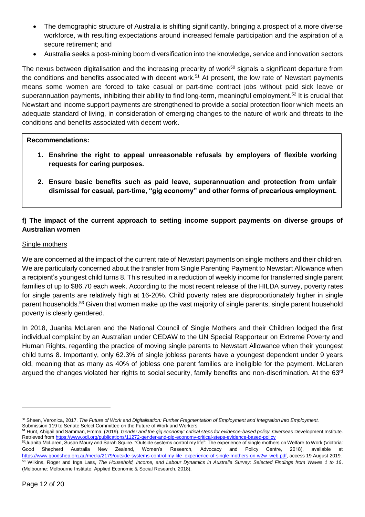- The demographic structure of Australia is shifting significantly, bringing a prospect of a more diverse workforce, with resulting expectations around increased female participation and the aspiration of a secure retirement; and
- Australia seeks a post-mining boom diversification into the knowledge, service and innovation sectors

The nexus between digitalisation and the increasing precarity of work<sup>50</sup> signals a significant departure from the conditions and benefits associated with decent work.<sup>51</sup> At present, the low rate of Newstart payments means some women are forced to take casual or part-time contract jobs without paid sick leave or superannuation payments, inhibiting their ability to find long-term, meaningful employment. <sup>52</sup> It is crucial that Newstart and income support payments are strengthened to provide a social protection floor which meets an adequate standard of living, in consideration of emerging changes to the nature of work and threats to the conditions and benefits associated with decent work.

### **Recommendations:**

- **1. Enshrine the right to appeal unreasonable refusals by employers of flexible working requests for caring purposes.**
- **2. Ensure basic benefits such as paid leave, superannuation and protection from unfair dismissal for casual, part-time, "gig economy" and other forms of precarious employment.**

# **f) The impact of the current approach to setting income support payments on diverse groups of Australian women**

### Single mothers

We are concerned at the impact of the current rate of Newstart payments on single mothers and their children. We are particularly concerned about the transfer from Single Parenting Payment to Newstart Allowance when a recipient's youngest child turns 8. This resulted in a reduction of weekly income for transferred single parent families of up to \$86.70 each week. According to the most recent release of the HILDA survey, poverty rates for single parents are relatively high at 16-20%. Child poverty rates are disproportionately higher in single parent households.<sup>53</sup> Given that women make up the vast majority of single parents, single parent household poverty is clearly gendered.

In 2018, Juanita McLaren and the National Council of Single Mothers and their Children lodged the first individual complaint by an Australian under CEDAW to the UN Special Rapporteur on Extreme Poverty and Human Rights, regarding the practice of moving single parents to Newstart Allowance when their youngest child turns 8. Importantly, only 62.3% of single jobless parents have a youngest dependent under 9 years old, meaning that as many as 40% of jobless one parent families are ineligible for the payment. McLaren argued the changes violated her rights to social security, family benefits and non-discrimination. At the 63rd

<sup>50</sup> Sheen, Veronica, 2017. *The Future of Work and Digitalisation: Further Fragmentation of Employment and Integration into Employment.*  Submission 119 to Senate Select Committee on the Future of Work and Workers.

**<sup>51</sup>** Hunt, Abigail and Samman, Emma. (2019). *Gender and the gig economy: critical steps for evidence-based policy.* Overseas Development Institute. Retrieved fro[m https://www.odi.org/publications/11272-gender-and-gig-economy-critical-steps-evidence-based-policy](https://www.odi.org/publications/11272-gender-and-gig-economy-critical-steps-evidence-based-policy)

<sup>52</sup>Juanita McLaren, Susan Maury and Sarah Squire. "Outside systems control my life": The experience of single mothers on Welfare to Work (Victoria: Good Shepherd Australia New Zealand, Women's Research, Advocacy and Policy Centre, 2018), available at [https://www.goodshep.org.au/media/2179/outside-systems-control-my-life\\_experience-of-single-mothers-on-w2w\\_web.pdf,](https://www.goodshep.org.au/media/2179/outside-systems-control-my-life_experience-of-single-mothers-on-w2w_web.pdf) access 19 August 2019. <sup>53</sup> Wilkins, Roger and Inga Lass, *The Household, Income, and Labour Dynamics in Australia Survey: Selected Findings from Waves 1 to 16*. (Melbourne: Melbourne Institute: Applied Economic & Social Research, 2018).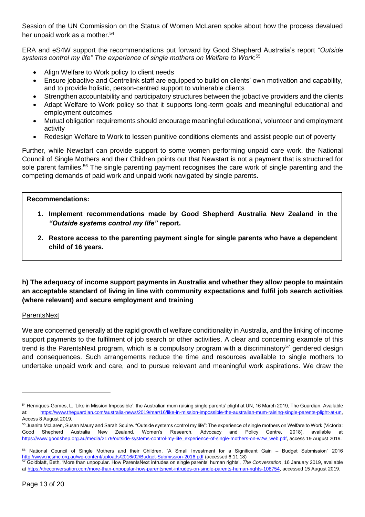Session of the UN Commission on the Status of Women McLaren spoke about how the process devalued her unpaid work as a mother.<sup>54</sup>

ERA and eS4W support the recommendations put forward by Good Shepherd Australia's report *"Outside systems control my life" The experience of single mothers on Welfare to Work*: 55

- Align Welfare to Work policy to client needs
- Ensure jobactive and Centrelink staff are equipped to build on clients' own motivation and capability, and to provide holistic, person-centred support to vulnerable clients
- Strengthen accountability and participatory structures between the jobactive providers and the clients
- Adapt Welfare to Work policy so that it supports long-term goals and meaningful educational and employment outcomes
- Mutual obligation requirements should encourage meaningful educational, volunteer and employment activity
- Redesign Welfare to Work to lessen punitive conditions elements and assist people out of poverty

Further, while Newstart can provide support to some women performing unpaid care work, the National Council of Single Mothers and their Children points out that Newstart is not a payment that is structured for sole parent families.<sup>56</sup> The single parenting payment recognises the care work of single parenting and the competing demands of paid work and unpaid work navigated by single parents.

## **Recommendations:**

- **1. Implement recommendations made by Good Shepherd Australia New Zealand in the**  *"Outside systems control my life"* **report.**
- **2. Restore access to the parenting payment single for single parents who have a dependent child of 16 years.**

# **h) The adequacy of income support payments in Australia and whether they allow people to maintain an acceptable standard of living in line with community expectations and fulfil job search activities (where relevant) and secure employment and training**

### **ParentsNext**

 $\overline{a}$ 

We are concerned generally at the rapid growth of welfare conditionality in Australia, and the linking of income support payments to the fulfilment of job search or other activities. A clear and concerning example of this trend is the ParentsNext program, which is a compulsory program with a discriminatory<sup>57</sup> gendered design and consequences. Such arrangements reduce the time and resources available to single mothers to undertake unpaid work and care, and to pursue relevant and meaningful work aspirations. We draw the

<sup>54</sup> Henriques-Gomes, L. 'Like in Mission Impossible': the Australian mum raising single parents' plight at UN, 16 March 2019, The Guardian, Available at: [https://www.theguardian.com/australia-news/2019/mar/16/like-in-mission-impossible-the-australian-mum-raising-single-parents-plight-at-un,](https://www.theguardian.com/australia-news/2019/mar/16/like-in-mission-impossible-the-australian-mum-raising-single-parents-plight-at-un) Access 8 August 2019.

<sup>55</sup> Juanita McLaren, Susan Maury and Sarah Squire. "Outside systems control my life": The experience of single mothers on Welfare to Work (Victoria: Good Shepherd Australia New Zealand, Women's Research, Advocacy and Policy Centre, 2018), available at [https://www.goodshep.org.au/media/2179/outside-systems-control-my-life\\_experience-of-single-mothers-on-w2w\\_web.pdf,](https://www.goodshep.org.au/media/2179/outside-systems-control-my-life_experience-of-single-mothers-on-w2w_web.pdf) access 19 August 2019.

<sup>56</sup> National Council of Single Mothers and their Children, "A Small Investment for a Significant Gain – Budget Submission" 2016 <http://www.ncsmc.org.au/wp-content/uploads/2016/02/Budget-Submission-2016.pdf> (accessed 6.11.18)

<sup>57</sup> Goldblatt, Beth, 'More than unpopular. How ParentsNext intrudes on single parents' human rights', *The Conversation*, 16 January 2019, available at [https://theconversation.com/more-than-unpopular-how-parentsnext-intrudes-on-single-parents-human-rights-108754,](https://theconversation.com/more-than-unpopular-how-parentsnext-intrudes-on-single-parents-human-rights-108754) accessed 15 August 2019.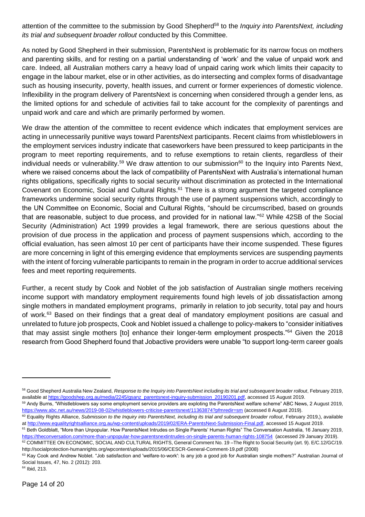attention of the committee to the submission by Good Shepherd<sup>58</sup> to the *Inquiry into ParentsNext, including its trial and subsequent broader rollout* conducted by this Committee.

As noted by Good Shepherd in their submission, ParentsNext is problematic for its narrow focus on mothers and parenting skills, and for resting on a partial understanding of 'work' and the value of unpaid work and care. Indeed, all Australian mothers carry a heavy load of unpaid caring work which limits their capacity to engage in the labour market, else or in other activities, as do intersecting and complex forms of disadvantage such as housing insecurity, poverty, health issues, and current or former experiences of domestic violence. Inflexibility in the program delivery of ParentsNext is concerning when considered through a gender lens, as the limited options for and schedule of activities fail to take account for the complexity of parentings and unpaid work and care and which are primarily performed by women.

We draw the attention of the committee to recent evidence which indicates that employment services are acting in unnecessarily punitive ways toward ParentsNext participants. Recent claims from whistleblowers in the employment services industry indicate that caseworkers have been pressured to keep participants in the program to meet reporting requirements, and to refuse exemptions to retain clients, regardless of their individual needs or vulnerability.<sup>59</sup> We draw attention to our submission<sup>60</sup> to the Inquiry into Parents Next, where we raised concerns about the lack of compatibility of ParentsNext with Australia's international human rights obligations, specifically rights to social security without discrimination as protected in the International Covenant on Economic, Social and Cultural Rights.<sup>61</sup> There is a strong argument the targeted compliance frameworks undermine social security rights through the use of payment suspensions which, accordingly to the UN Committee on Economic, Social and Cultural Rights, "should be circumscribed, based on grounds that are reasonable, subject to due process, and provided for in national law."<sup>62</sup> While 42SB of the Social Security (Administration) Act 1999 provides a legal framework, there are serious questions about the provision of due process in the application and process of payment suspensions which, according to the official evaluation, has seen almost 10 per cent of participants have their income suspended. These figures are more concerning in light of this emerging evidence that employments services are suspending payments with the intent of forcing vulnerable participants to remain in the program in order to accrue additional services fees and meet reporting requirements.

Further, a recent study by Cook and Noblet of the job satisfaction of Australian single mothers receiving income support with mandatory employment requirements found high levels of job dissatisfaction among single mothers in mandated employment programs, primarily in relation to job security, total pay and hours of work.<sup>63</sup> Based on their findings that a great deal of mandatory employment positions are casual and unrelated to future job prospects, Cook and Noblet issued a challenge to policy-makers to "consider initiatives that may assist single mothers [to] enhance their longer-term employment prospects."<sup>64</sup> Given the 2018 research from Good Shepherd found that Jobactive providers were unable "to support long-term career goals

<sup>64</sup> Ibid, 213.

<sup>58</sup> Good Shepherd Australia New Zealand, *Response to the Inquiry into ParentsNext including its trial and subsequent broader rollout*, February 2019, available a[t https://goodshep.org.au/media/2245/gsanz\\_parentsnext-inquiry-submission\\_20190201.pdf,](https://goodshep.org.au/media/2245/gsanz_parentsnext-inquiry-submission_20190201.pdf) accessed 15 August 2019.

<sup>&</sup>lt;sup>59</sup> Andy Burns, "Whistleblowers say some employment service providers are exploting the ParentsNext welfare scheme" ABC News, 2 August 2019, <https://www.abc.net.au/news/2019-08-02/whistleblowers-criticise-parentsnext/11363874?pfmredir=sm> (accessed 8 August 2019).

<sup>&</sup>lt;sup>60</sup> Equality Rights Alliance, Submission to the Inquiry into ParentsNext, including its trial and subsequent broader rollout, February 2019,), available at [http://www.equalityrightsalliance.org.au/wp-content/uploads/2019/02/ERA-ParentsNext-Submission-Final.pdf,](http://www.equalityrightsalliance.org.au/wp-content/uploads/2019/02/ERA-ParentsNext-Submission-Final.pdf) accessed 15 August 2019.

<sup>&</sup>lt;sup>61</sup> Beth Goldblatt, "More than Unpopular. How ParentsNext Intrudes on Single Parents' Human Rights" The Conversation Australia, 16 January 2019, <https://theconversation.com/more-than-unpopular-how-parentsnextintrudes-on-single-parents-human-rights-108754>(accessed 29 January 2019).

<sup>62</sup> COMMITTEE ON ECONOMIC, SOCIAL AND CULTURAL RIGHTS, General Comment No. 19 -The Right to Social Security (art. 9). E/C.12/GC/19. http://socialprotection-humanrights.org/wpcontent/uploads/2015/06/CESCR-General-Comment-19.pdf (2008)

<sup>63</sup> Kay Cook and Andrew Noblet. "Job satisfaction and 'welfare-to-work': Is any job a good job for Australian single mothers?" Australian Journal of Social Issues, 47, No. 2 (2012): 203.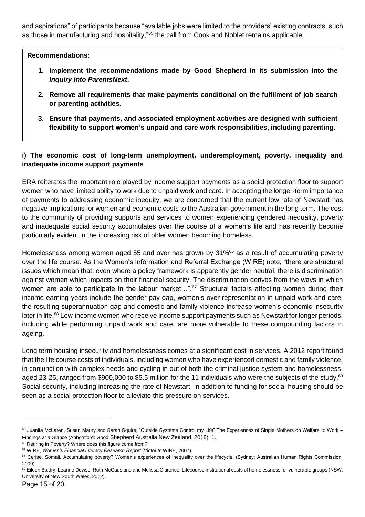and aspirations" of participants because "available jobs were limited to the providers' existing contracts, such as those in manufacturing and hospitality,"<sup>65</sup> the call from Cook and Noblet remains applicable.

**Recommendations:**

- **1. Implement the recommendations made by Good Shepherd in its submission into the**  *Inquiry into ParentsNext***.**
- **2. Remove all requirements that make payments conditional on the fulfilment of job search or parenting activities.**
- **3. Ensure that payments, and associated employment activities are designed with sufficient flexibility to support women's unpaid and care work responsibilities, including parenting.**

# **i) The economic cost of long-term unemployment, underemployment, poverty, inequality and inadequate income support payments**

ERA reiterates the important role played by income support payments as a social protection floor to support women who have limited ability to work due to unpaid work and care. In accepting the longer-term importance of payments to addressing economic inequity, we are concerned that the current low rate of Newstart has negative implications for women and economic costs to the Australian government in the long term. The cost to the community of providing supports and services to women experiencing gendered inequality, poverty and inadequate social security accumulates over the course of a women's life and has recently become particularly evident in the increasing risk of older women becoming homeless.

Homelessness among women aged 55 and over has grown by 31%<sup>66</sup> as a result of accumulating poverty over the life course. As the Women's Information and Referral Exchange (WIRE) note, "there are structural issues which mean that, even where a policy framework is apparently gender neutral, there is discrimination against women which impacts on their financial security. The discrimination derives from the ways in which women are able to participate in the labour market...".<sup>67</sup> Structural factors affecting women during their income-earning years include the gender pay gap, women's over-representation in unpaid work and care, the resulting superannuation gap and domestic and family violence increase women's economic insecurity later in life.<sup>68</sup> Low-income women who receive income support payments such as Newstart for longer periods, including while performing unpaid work and care, are more vulnerable to these compounding factors in ageing.

Long term housing insecurity and homelessness comes at a significant cost in services. A 2012 report found that the life course costs of individuals, including women who have experienced domestic and family violence, in conjunction with complex needs and cycling in out of both the criminal justice system and homelessness, aged 23-25, ranged from \$900,000 to \$5.5 million for the 11 individuals who were the subjects of the study.<sup>69</sup> Social security, including increasing the rate of Newstart, in addition to funding for social housing should be seen as a social protection floor to alleviate this pressure on services.

<sup>65</sup> Juanita McLaren, Susan Maury and Sarah Squire, "Outside Systems Control my Life" The Experiences of Single Mothers on Welfare to Work -Findings at a Glance (Abbotsford: Good Shepherd Australia New Zealand, 2018), 1.

<sup>&</sup>lt;sup>66</sup> Retiring in Poverty? Where does this figure come from?

<sup>67</sup> WIRE, *Women's Financial Literacy Research Report* (Victoria: WIRE, 2007).

<sup>&</sup>lt;sup>68</sup> Cerise, Somali. Accumulating poverty? Women's experiences of inequality over the lifecycle. (Sydney: Australian Human Rights Commission, 2009).

<sup>69</sup> Eileen Baldry, Leanne Dowse, Ruth McCausland and Melissa Clarence, Lifecourse institutional costs of homelessness for vulnerable groups (NSW: University of New South Wales, 2012).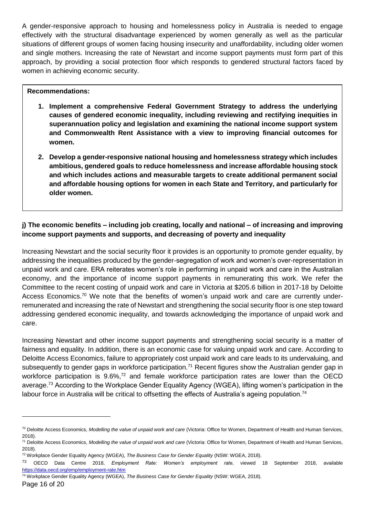A gender-responsive approach to housing and homelessness policy in Australia is needed to engage effectively with the structural disadvantage experienced by women generally as well as the particular situations of different groups of women facing housing insecurity and unaffordability, including older women and single mothers. Increasing the rate of Newstart and income support payments must form part of this approach, by providing a social protection floor which responds to gendered structural factors faced by women in achieving economic security.

## **Recommendations:**

- **1. Implement a comprehensive Federal Government Strategy to address the underlying causes of gendered economic inequality, including reviewing and rectifying inequities in superannuation policy and legislation and examining the national income support system and Commonwealth Rent Assistance with a view to improving financial outcomes for women.**
- **2. Develop a gender-responsive national housing and homelessness strategy which includes ambitious, gendered goals to reduce homelessness and increase affordable housing stock and which includes actions and measurable targets to create additional permanent social and affordable housing options for women in each State and Territory, and particularly for older women.**

# **j) The economic benefits – including job creating, locally and national – of increasing and improving income support payments and supports, and decreasing of poverty and inequality**

Increasing Newstart and the social security floor it provides is an opportunity to promote gender equality, by addressing the inequalities produced by the gender-segregation of work and women's over-representation in unpaid work and care. ERA reiterates women's role in performing in unpaid work and care in the Australian economy, and the importance of income support payments in remunerating this work. We refer the Committee to the recent costing of unpaid work and care in Victoria at \$205.6 billion in 2017-18 by Deloitte Access Economics.<sup>70</sup> We note that the benefits of women's unpaid work and care are currently underremunerated and increasing the rate of Newstart and strengthening the social security floor is one step toward addressing gendered economic inequality, and towards acknowledging the importance of unpaid work and care.

Increasing Newstart and other income support payments and strengthening social security is a matter of fairness and equality. In addition, there is an economic case for valuing unpaid work and care. According to Deloitte Access Economics, failure to appropriately cost unpaid work and care leads to its undervaluing, and subsequently to gender gaps in workforce participation.<sup>71</sup> Recent figures show the Australian gender gap in workforce participation is 9.6%,<sup>72</sup> and female workforce participation rates are lower than the OECD average.<sup>73</sup> According to the Workplace Gender Equality Agency (WGEA), lifting women's participation in the labour force in Australia will be critical to offsetting the effects of Australia's ageing population.<sup>74</sup>

<sup>74</sup> Workplace Gender Equality Agency (WGEA), *The Business Case for Gender Equality* (NSW: WGEA, 2018).

<sup>70</sup> Deloitte Access Economics, *Modelling the value of unpaid work and care* (Victoria: Office for Women, Department of Health and Human Services, 2018).

<sup>71</sup> Deloitte Access Economics, *Modelling the value of unpaid work and care* (Victoria: Office for Women, Department of Health and Human Services, 2018).

<sup>72</sup> Workplace Gender Equality Agency (WGEA), *The Business Case for Gender Equality* (NSW: WGEA, 2018).

<sup>73</sup> OECD Data Centre 2018, *Employment Rate: Women's employment rate*, viewed 18 September 2018, available <https://data.oecd.org/emp/employment-rate.htm>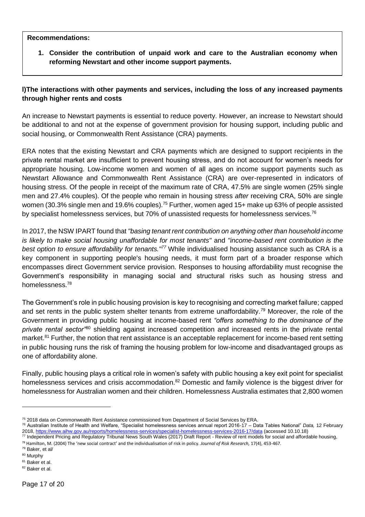## **Recommendations:**

**1. Consider the contribution of unpaid work and care to the Australian economy when reforming Newstart and other income support payments.** 

# **l)The interactions with other payments and services, including the loss of any increased payments through higher rents and costs**

An increase to Newstart payments is essential to reduce poverty. However, an increase to Newstart should be additional to and not at the expense of government provision for housing support, including public and social housing, or Commonwealth Rent Assistance (CRA) payments.

ERA notes that the existing Newstart and CRA payments which are designed to support recipients in the private rental market are insufficient to prevent housing stress, and do not account for women's needs for appropriate housing. Low-income women and women of all ages on income support payments such as Newstart Allowance and Commonwealth Rent Assistance (CRA) are over-represented in indicators of housing stress. Of the people in receipt of the maximum rate of CRA, 47.5% are single women (25% single men and 27.4% couples). Of the people who remain in housing stress *after* receiving CRA, 50% are single women (30.3% single men and 19.6% couples).<sup>75</sup> Further, women aged 15+ make up 63% of people assisted by specialist homelessness services, [but 70% of unassisted requests](https://www.aihw.gov.au/reports/homelessness-services/specialist-homelessness-services-2016-17/data) for homelessness services.<sup>76</sup>

In 2017, the NSW IPART found that *"basing tenant rent contribution on anything other than household income is likely to make social housing unaffordable for most tenants"* and *"income-based rent contribution is the best option to ensure affordability for tenants."<sup>77</sup>* While individualised housing assistance such as CRA is a key component in supporting people's housing needs, it must form part of a broader response which encompasses direct Government service provision. Responses to housing affordability must recognise the Government's responsibility in managing social and structural risks such as housing stress and homelessness.<sup>78</sup>

The Government's role in public housing provision is key to recognising and correcting market failure; capped and set rents in the public system shelter tenants from extreme unaffordability.<sup>79</sup> Moreover, the role of the Government in providing public housing at income-based rent *"offers something to the dominance of the private rental sector"*<sup>80</sup> shielding against increased competition and increased rents in the private rental market.<sup>81</sup> Further, the notion that rent assistance is an acceptable replacement for income-based rent setting in public housing runs the risk of framing the housing problem for low-income and disadvantaged groups as one of affordability alone.

Finally, public housing plays a critical role in women's safety with public housing a key exit point for specialist homelessness services and crisis accommodation.<sup>82</sup> Domestic and family violence is the biggest driver for homelessness for Australian women and their children. Homelessness Australia estimates that 2,800 women

 $\overline{a}$ 

<sup>81</sup> Baker et al. <sup>82</sup> Baker et al.

<sup>75 2018</sup> data on Commonwealth Rent Assistance commissioned from Department of Social Services by ERA.

<sup>76</sup> Australian Institute of Health and Welfare, "Specialist homelessness services annual report 2016-17 – Data Tables National" *Data,* 12 February 2018,<https://www.aihw.gov.au/reports/homelessness-services/specialist-homelessness-services-2016-17/data> (accessed 10.10.18)

<sup>77</sup> Independent Pricing and Regulatory Tribunal News South Wales (2017) Draft Report - Review of rent models for social and affordable housing,

<sup>78</sup> Hamilton, M. (2004) The 'new social contract' and the individualisation of risk in policy. *Journal of Risk Research,* 17(4), 453-467.

<sup>79</sup> Baker, et al/

<sup>80</sup> Murphy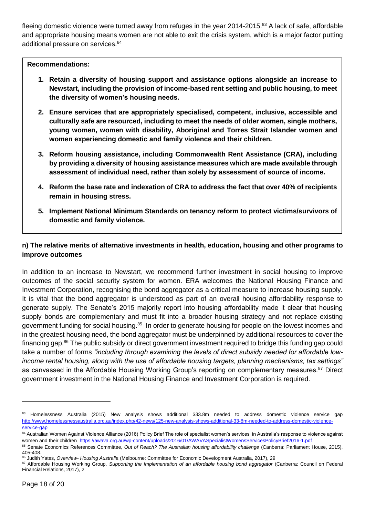fleeing domestic violence were turned away from refuges in the year 2014-2015.<sup>83</sup> A lack of safe, affordable and appropriate housing means women are not able to exit the crisis system, which is a major factor putting additional pressure on services.<sup>84</sup>

**Recommendations:**

- **1. Retain a diversity of housing support and assistance options alongside an increase to Newstart, including the provision of income-based rent setting and public housing, to meet the diversity of women's housing needs.**
- **2. Ensure services that are appropriately specialised, competent, inclusive, accessible and culturally safe are resourced, including to meet the needs of older women, single mothers, young women, women with disability, Aboriginal and Torres Strait Islander women and women experiencing domestic and family violence and their children.**
- **3. Reform housing assistance, including Commonwealth Rent Assistance (CRA), including by providing a diversity of housing assistance measures which are made available through assessment of individual need, rather than solely by assessment of source of income.**
- **4. Reform the base rate and indexation of CRA to address the fact that over 40% of recipients remain in housing stress.**
- **5. Implement National Minimum Standards on tenancy reform to protect victims/survivors of domestic and family violence.**

# **n) The relative merits of alternative investments in health, education, housing and other programs to improve outcomes**

In addition to an increase to Newstart, we recommend further investment in social housing to improve outcomes of the social security system for women. ERA welcomes the National Housing Finance and Investment Corporation, recognising the bond aggregator as a critical measure to increase housing supply. It is vital that the bond aggregator is understood as part of an overall housing affordability response to generate supply. The Senate's 2015 majority report into housing affordability made it clear that housing supply bonds are complementary and must fit into a broader housing strategy and not replace existing government funding for social housing.<sup>85</sup> In order to generate housing for people on the lowest incomes and in the greatest housing need, the bond aggregator must be underpinned by additional resources to cover the financing gap.<sup>86</sup> The public subsidy or direct government investment required to bridge this funding gap could take a number of forms *"including through examining the levels of direct subsidy needed for affordable lowincome rental housing, along with the use of affordable housing targets, planning mechanisms, tax settings"* as canvassed in the Affordable Housing Working Group's reporting on complementary measures.<sup>87</sup> Direct government investment in the National Housing Finance and Investment Corporation is required.

<sup>83</sup> Homelessness Australia (2015) New analysis shows additional \$33.8m needed to address domestic violence service gap [http://www.homelessnessaustralia.org.au/index.php/42-news/125-new-analysis-shows-additional-33-8m-needed-to-address-domestic-violence](http://www.homelessnessaustralia.org.au/index.php/42-news/125-new-analysis-shows-additional-33-8m-needed-to-address-domestic-violence-service-gap)[service-gap](http://www.homelessnessaustralia.org.au/index.php/42-news/125-new-analysis-shows-additional-33-8m-needed-to-address-domestic-violence-service-gap)

<sup>84</sup> Australian Women Against Violence Alliance (2016) Policy Brief The role of specialist women's services in Australia's response to violence against women and their children <https://awava.org.au/wp-content/uploads/2016/01/AWAVASpecialistWomensServicesPolicyBrief2016-1.pdf>

<sup>85</sup> Senate Economics References Committee, Out of Reach? The Australian housing affordability challenge (Canberra: Parliament House, 2015), 405-408.

<sup>86</sup> Judith Yates, *Overview- Housing Australia* (Melbourne: Committee for Economic Development Australia, 2017), 29

<sup>87</sup> Affordable Housing Working Group, Supporting the Implementation of an affordable housing bond aggregator (Canberra: Council on Federal Financial Relations, 2017), 2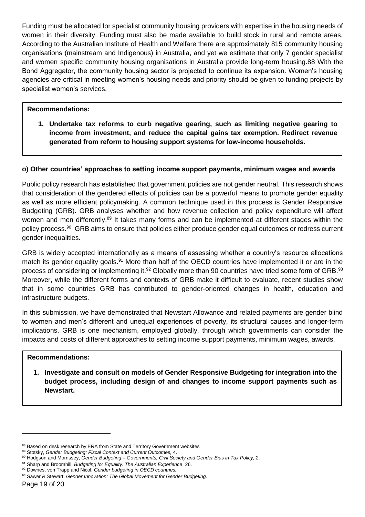Funding must be allocated for specialist community housing providers with expertise in the housing needs of women in their diversity. Funding must also be made available to build stock in rural and remote areas. According to the Australian Institute of Health and Welfare there are approximately 815 community housing organisations (mainstream and Indigenous) in Australia, and yet we estimate that only 7 gender specialist and women specific community housing organisations in Australia provide long-term housing.88 With the Bond Aggregator, the community housing sector is projected to continue its expansion. Women's housing agencies are critical in meeting women's housing needs and priority should be given to funding projects by specialist women's services.

## **Recommendations:**

**1. Undertake tax reforms to curb negative gearing, such as limiting negative gearing to income from investment, and reduce the capital gains tax exemption. Redirect revenue generated from reform to housing support systems for low-income households.** 

### **o) Other countries' approaches to setting income support payments, minimum wages and awards**

Public policy research has established that government policies are not gender neutral. This research shows that consideration of the gendered effects of policies can be a powerful means to promote gender equality as well as more efficient policymaking. A common technique used in this process is Gender Responsive Budgeting (GRB). GRB analyses whether and how revenue collection and policy expenditure will affect women and men differently.<sup>89</sup> It takes many forms and can be implemented at different stages within the policy process.<sup>90</sup> GRB aims to ensure that policies either produce gender equal outcomes or redress current gender inequalities.

GRB is widely accepted internationally as a means of assessing whether a country's resource allocations match its gender equality goals.<sup>91</sup> More than half of the OECD countries have implemented it or are in the process of considering or implementing it.<sup>92</sup> Globally more than 90 countries have tried some form of GRB.<sup>93</sup> Moreover, while the different forms and contexts of GRB make it difficult to evaluate, recent studies show that in some countries GRB has contributed to gender-oriented changes in health, education and infrastructure budgets.

In this submission, we have demonstrated that Newstart Allowance and related payments are gender blind to women and men's different and unequal experiences of poverty, its structural causes and longer-term implications. GRB is one mechanism, employed globally, through which governments can consider the impacts and costs of different approaches to setting income support payments, minimum wages, awards.

### **Recommendations:**

**1. Investigate and consult on models of Gender Responsive Budgeting for integration into the budget process, including design of and changes to income support payments such as Newstart.**

<sup>88</sup> Based on desk research by ERA from State and Territory Government websites

<sup>89</sup> Stotsky, *Gender Budgeting: Fiscal Context and Current Outcomes,* 4.

<sup>90</sup> Hodgson and Morrissey, *Gender Budgeting – Governments, Civil Society and Gender Bias in Tax Policy,* 2.

<sup>91</sup> Sharp and Broomhill, *Budgeting for Equality: The Australian Experience*, 26.

<sup>92</sup> Downes, von Trapp and Nicol, *Gender budgeting in OECD countries.* 

<sup>93</sup> Sawer & Stewart, *Gender Innovation: The Global Movement for Gender Budgeting.*